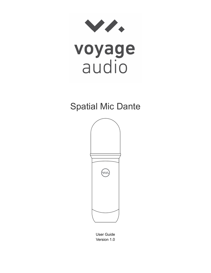



# Spatial Mic Dante



User Guide Version 1.0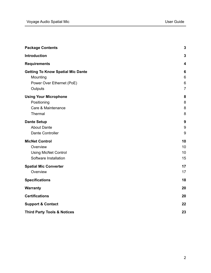|                                          | $\mathbf{3}$            |
|------------------------------------------|-------------------------|
| <b>Package Contents</b>                  |                         |
| Introduction                             | $\mathbf{3}$            |
| <b>Requirements</b>                      | $\overline{\mathbf{4}}$ |
| <b>Getting To Know Spatial Mic Dante</b> | 6                       |
| Mounting                                 | 6                       |
| Power Over Ethernet (PoE)                | 6                       |
| Outputs                                  | $\overline{7}$          |
| <b>Using Your Microphone</b>             | 8                       |
| Positioning                              | 8                       |
| Care & Maintenance                       | 8                       |
| Thermal                                  | 8                       |
| <b>Dante Setup</b>                       | 9                       |
| <b>About Dante</b>                       | 9                       |
| Dante Controller                         | 9                       |
| <b>MicNet Control</b>                    | 10                      |
| Overview                                 | 10                      |
| <b>Using MicNet Control</b>              | 10                      |
| Software Installation                    | 15                      |
| <b>Spatial Mic Converter</b>             | 17                      |
| Overview                                 | 17                      |
| <b>Specifications</b>                    | 18                      |
| <b>Warranty</b>                          | 20                      |
| <b>Certifications</b>                    | 20                      |
| <b>Support &amp; Contact</b>             | 22                      |
| <b>Third Party Tools &amp; Notices</b>   | 23                      |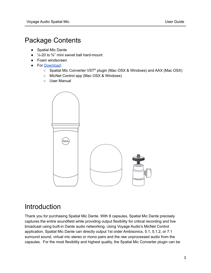# <span id="page-2-0"></span>Package Contents

- Spatial Mic Dante
- $\bullet$   $\frac{1}{4}$ -20 to %" mini swivel ball hard-mount
- Foam windscreen
- For [Download](https://voyage.audio/downloads/):
	- Spatial Mic Converter VST<sup>®</sup> plugin (Mac OSX & Windows) and AAX (Mac OSX)
	- MicNet Control app (Mac OSX & Windows)
	- User Manual



# <span id="page-2-1"></span>Introduction

Thank you for purchasing Spatial Mic Dante. With 8 capsules, Spatial Mic Dante precisely captures the entire soundfield while providing output flexibility for critical recording and live broadcast using built-in Dante audio networking. Using Voyage Audio's MicNet Control application, Spatial Mic Dante can directly output 1st order Ambisonics, 5.1, 5.1.2, or 7.1 surround sound, virtual mic stereo or mono pairs and the raw unprocessed audio from the capsules. For the most flexibility and highest quality, the Spatial Mic Converter plugin can be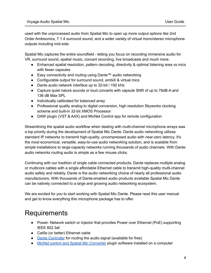used with the unprocessed audio from Spatial Mic to open up more output options like 2nd Order Ambisonics, 7.1.4 surround sound, and a wider variety of virtual mono/stereo microphone outputs including mid-side.

Spatial Mic captures the entire soundfield - letting you focus on recording immersive audio for VR, surround sound, spatial music, concert recording, live broadcasts and much more.

- Enhanced spatial resolution, pattern decoding, directivity & optimal listening area vs mics with fewer capsules
- Easy connectivity and routing using Dante™ audio networking
- Configurable output for surround sound, ambiX & virtual mics
- Dante audio network interface up to 32-bit / 192 kHz
- Capture quiet nature sounds or loud concerts with capsule SNR of up to 78dB-A and 136 dB Max SPL
- Individually calibrated for balanced array
- Professional quality analog to digital conversion, high resolution Skyworks clocking scheme and built-in 32-bit XMOS Processor
- DAW plugin (VST & AAX) and MicNet Control app for remote configuration

Streamlining the spatial audio workflow when dealing with multi-channel microphone arrays was a top priority during the development of Spatial Mic Dante. Dante audio networking utilizes standard IP networks to transmit high-quality, uncompressed audio with near-zero latency. It's the most economical, versatile, easy-to-use audio networking solution, and is scalable from simple installations to large-capacity networks running thousands of audio channels. With Dante audio networks routing audio is simple as a few mouse clicks.

Continuing with our tradition of single cable connected products, Dante replaces multiple analog or multicore cables with a single affordable Ethernet cable to transmit high-quality multi-channel audio safely and reliably. Dante is the audio networking choice of nearly all professional audio manufacturers. With thousands of Dante-enabled audio products available Spatial Mic Dante can be natively connected to a large and growing audio networking ecosystem.

We are excited for you to start working with Spatial Mic Dante. Please read this user manual and get to know everything this microphone package has to offer.

# <span id="page-3-0"></span>**Requirements**

- Power: Network switch or injector that provides Power over Ethernet (PoE) supporting IEEE 802.3af.
- Cat5e (or better) Ethernet cable
- Dante [Controller](https://www.audinate.com/products/software/dante-controller) for routing the audio signal (available for free)
- MicNet control and Spatial Mic [Converter](https://voyage.audio/downloads/) plugin software installed on a computer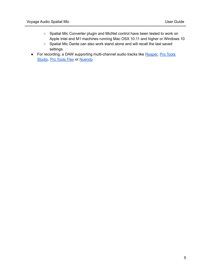- Spatial Mic Converter plugin and MicNet control have been tested to work on Apple Intel and M1 machines running Mac OSX 10.11 and higher or Windows 10
- Spatial Mic Dante can also work stand alone and will recall the last saved settings
- For recording, a DAW supporting multi-channel audio tracks like [Reaper,](https://www.reaper.fm/) Pro [Tools](https://www.avid.com/pro-tools) [Studio](https://www.avid.com/pro-tools), Pro [Tools](https://www.avid.com/pro-tools) Flex or [Nuendo](https://steinberg.help/nuendo/v8/en/cubase_nuendo/topics/surround_sound/surround_sound_ambisonics_c.html)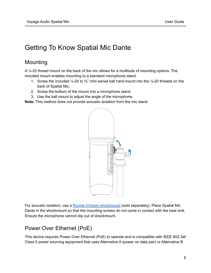# <span id="page-5-0"></span>Getting To Know Spatial Mic Dante

## <span id="page-5-1"></span>Mounting

A ¼-20 thread mount on the back of the mic allows for a multitude of mounting options. The included mount enables mounting to a standard microphone stand.

- 1. Screw the included  $\frac{1}{4}$ -20 to  $\frac{5}{8}$ " mini swivel ball hard-mount into the  $\frac{1}{4}$ -20 threads on the back of Spatial Mic.
- 2. Screw the bottom of the mount into a microphone stand.
- 3. Use the ball mount to adjust the angle of the microphone.

**Note:** This method does not provide acoustic isolation from the mic stand.



For acoustic isolation, use a Rycote InVision [shockmount](https://voyage.audio/shop/rycote-invision-usm-shock-mount/) (sold separately). Place Spatial Mic Dante in the shockmount so that the mounting screws do not come in contact with the heat sink. Ensure the microphone cannot slip out of shockmount.

## <span id="page-5-2"></span>Power Over Ethernet (PoE)

This device requires Power Over Ethernet (PoE) to operate and is compatible with IEEE 802.3af Class 0 power sourcing equipment that uses Alternative A (power on data pair) or Alternative B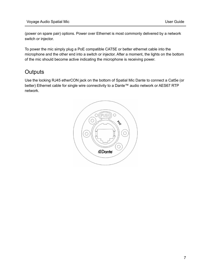(power on spare pair) options. Power over Ethernet is most commonly delivered by a network switch or injector.

To power the mic simply plug a PoE compatible CAT5E or better ethernet cable into the microphone and the other end into a switch or injector. After a moment, the lights on the bottom of the mic should become active indicating the microphone is receiving power.

## <span id="page-6-0"></span>**Outputs**

Use the locking RJ45 etherCON jack on the bottom of Spatial Mic Dante to connect a Cat5e (or better) Ethernet cable for single wire connectivity to a Dante™ audio network or AES67 RTP network.

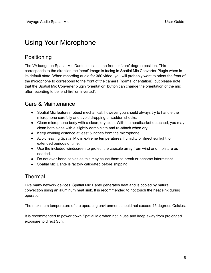# <span id="page-7-0"></span>Using Your Microphone

## <span id="page-7-1"></span>Positioning

The VA badge on Spatial Mic Dante indicates the front or 'zero' degree position. This corresponds to the direction the 'head' image is facing in Spatial Mic Converter Plugin when in its default state. When recording audio for 360 video, you will probably want to orient the front of the microphone to correspond to the front of the camera (normal orientation), but please note that the Spatial Mic Converter plugin 'orientation' button can change the orientation of the mic after recording to be 'end-fire' or 'inverted'.

## <span id="page-7-2"></span>Care & Maintenance

- Spatial Mic features robust mechanical, however you should always try to handle the microphone carefully and avoid dropping or sudden shocks.
- Clean microphone body with a clean, dry cloth. With the headbasket detached, you may clean both sides with a slightly damp cloth and re-attach when dry.
- Keep working distance at least 6 inches from the microphone.
- Avoid leaving Spatial Mic in extreme temperatures, humidity or direct sunlight for extended periods of time.
- Use the included windscreen to protect the capsule array from wind and moisture as needed.
- Do not over-bend cables as this may cause them to break or become intermittent.
- Spatial Mic Dante is factory calibrated before shipping

## <span id="page-7-3"></span>Thermal

Like many network devices, Spatial Mic Dante generates heat and is cooled by natural convection using an aluminum heat sink. It is recommended to not touch the heat sink during operation.

The maximum temperature of the operating environment should not exceed 45 degrees Celsius.

It is recommended to power down Spatial Mic when not in use and keep away from prolonged exposure to direct Sun.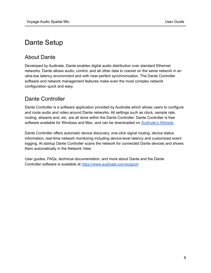# <span id="page-8-0"></span>Dante Setup

## <span id="page-8-1"></span>About Dante

Developed by Audinate, Dante enables digital audio distribution over standard Ethernet networks. Dante allows audio, control, and all other data to coexist on the same network in an ultra-low latency environment and with near-perfect synchronization. The Dante Controller software and network management features make even the most complex network configuration quick and easy.

## <span id="page-8-2"></span>Dante Controller

Dante Controller is a software application provided by Audinate which allows users to configure and route audio and video around Dante networks. All settings such as clock, sample rate, routing, streams and, etc. are all done within the Dante Controller. Dante Controller is free software available for Windows and Mac, and can be downloaded on [Audinate's](https://www.audinate.com/products/software/dante-controller) Website.

Dante Controller offers automatic device discovery, one-click signal routing, device status information, real-time network monitoring including device-level latency and customized event logging. At startup Dante Controller scans the network for connected Dante devices and shows them automatically in the Network View.

User guides, FAQs, technical documentation, and more about Dante and the Dante Controller software is available at <https://www.audinate.com/support>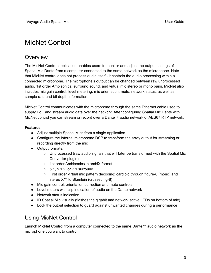# <span id="page-9-0"></span>MicNet Control

## <span id="page-9-1"></span>Overview

The MicNet Control application enables users to monitor and adjust the output settings of Spatial Mic Dante from a computer connected to the same network as the microphone. Note that MicNet control does not process audio itself - it controls the audio processing within a connected microphone. The microphone's output can be changed between raw unprocessed audio, 1st order Ambisonics, surround sound, and virtual mic stereo or mono pairs. MicNet also includes mic gain control, level metering, mic orientation, mute, network status, as well as sample rate and bit depth information.

MicNet Control communicates with the microphone through the same Ethernet cable used to supply PoE and stream audio data over the network. After configuring Spatial Mic Dante with MicNet control you can stream or record over a Dante™ audio network or AES67 RTP network.

#### **Features**

- Adjust multiple Spatial Mics from a single application
- Configure the internal microphone DSP to transform the array output for streaming or recording directly from the mic
- Output formats:
	- Unprocessed (raw audio signals that will later be transformed with the Spatial Mic Converter plugin)
	- 1st order Ambisonics in ambiX format
	- 5.1, 5.1.2, or 7.1 surround
	- First order virtual mic pattern decoding: cardioid through figure-8 (mono) and stereo X/Y to Blumlein (crossed fig-8)
- Mic gain control, orientation correction and mute controls
- Level meters with clip indication of audio on the Dante network
- Network status indication
- ID Spatial Mic visually (flashes the gigabit and network active LEDs on bottom of mic)
- Lock the output selection to guard against unwanted changes during a performance

## <span id="page-9-2"></span>Using MicNet Control

Launch MicNet Control from a computer connected to the same Dante™ audio network as the microphone you want to control.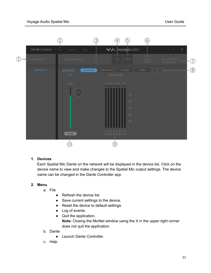

#### **1. Devices**

Each Spatial Mic Dante on the network will be displayed in the device list. Click on the device name to view and make changes to the Spatial Mic output settings. The device name can be changed in the Dante Controller app.

#### **2. Menu**

- a. File
	- Refresh the device list.
	- Save current settings to the device.
	- Reset the device to default settings.
	- Log of events.
	- Quit the application. **Note:** Closing the MicNet window using the X in the upper right corner does not quit the application.
- b. Dante
	- Launch Dante Controller.
- c. Help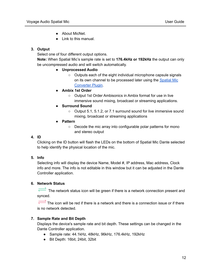- About MicNet.
- Link to this manual.

#### **3. Output**

Select one of four different output options.

**Note:** When Spatial Mic's sample rate is set to **176.4kHz or 192kHz** the output can only be uncompressed audio and will switch automatically.

#### **● Unprocessed Audio**

- Outputs each of the eight individual microphone capsule signals on its own channel to be processed later using the [Spatial](https://voyage.audio/downloads/) Mic [Converter](https://voyage.audio/downloads/) Plugin.
- **Ambix 1st Order**
	- Output 1st Order Ambisonics in Ambix format for use in live immersive sound mixing, broadcast or streaming applications.
- **Surround Sound**
	- Output 5.1, 5.1.2, or 7.1 surround sound for live immersive sound mixing, broadcast or streaming applications
- **Pattern**
	- Decode the mic array into configurable polar patterns for mono and stereo output

#### **4. ID**

Clicking on the ID button will flash the LEDs on the bottom of Spatial Mic Dante selected to help identify the physical location of the mic.

#### **5. Info**

Selecting info will display the device Name, Model #, IP address, Mac address, Clock info and more. The info is not editable in this window but it can be adjusted in the Dante Controller application.

#### **6. Network Status**

The network status icon will be green if there is a network connection present and synced.

The icon will be red if there is a network and there is a connection issue or if there is no network detected.

#### **7. Sample Rate and Bit Depth**

Displays the device's sample rate and bit depth. These settings can be changed in the Dante Controller application.

- Sample rate: 44.1kHz, 48kHz, 96kHz, 176.4kHz, 192kHz
- Bit Depth: 16bit, 24bit, 32bit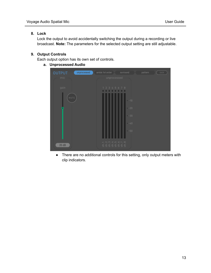#### **8. Lock**

Lock the output to avoid accidentally switching the output during a recording or live broadcast. **Note:** The parameters for the selected output setting are still adjustable.

#### **9. Output Controls**

Each output option has its own set of controls.

**a. Unprocessed Audio**



**●** There are no additional controls for this setting, only output meters with clip indicators.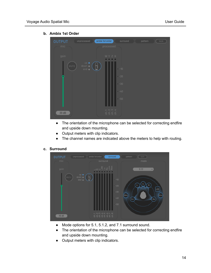- ambix 1st order  $20dB$
- **b. Ambix 1st Order**

- The orientation of the microphone can be selected for correcting endfire and upside down mounting.
- Output meters with clip indicators.
- The channel names are indicated above the meters to help with routing.

#### **c. Surround**



- **●** Mode options for 5.1, 5.1.2, and 7.1 surround sound.
- **●** The orientation of the microphone can be selected for correcting endfire and upside down mounting.
- **●** Output meters with clip indicators.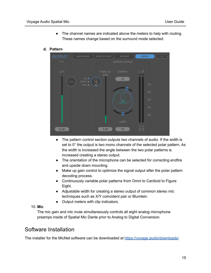- **●** The channel names are indicated above the meters to help with routing. These names change based on the surround mode selected.
- **d. Pattern**



- **●** The pattern control section outputs two channels of audio. If the width is set to 0° the output is two mono channels of the selected polar pattern. As the width is increased the angle between the two polar patterns is increased creating a stereo output.
- **●** The orientation of the microphone can be selected for correcting endfire and upside down mounting.
- **●** Make up gain control to optimize the signal output after the polar pattern decoding process.
- **●** Continuously variable polar patterns from Omni to Cardioid to Figure Eight.
- **●** Adjustable width for creating a stereo output of common stereo mic techniques such as X/Y coincident pair or Blumlein.
- **●** Output meters with clip indicators.
- 10. **Mic**

The mic gain and mic mute simultaneously controls all eight analog microphone preamps inside of Spatial Mic Dante prior to Analog to Digital Conversion.

## <span id="page-14-0"></span>Software Installation

The installer for the MicNet software can be downloaded at <https://voyage.audio/downloads/>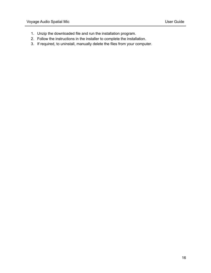- 1. Unzip the downloaded file and run the installation program.
- 2. Follow the instructions in the installer to complete the installation.
- 3. If required, to uninstall, manually delete the files from your computer.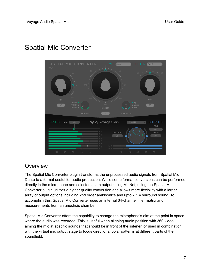# **INPUTS //, voyageaudio** trim **OUTPUTS**

# <span id="page-16-0"></span>Spatial Mic Converter

## <span id="page-16-1"></span>**Overview**

The Spatial Mic Converter plugin transforms the unprocessed audio signals from Spatial Mic Dante to a format useful for audio production. While some format conversions can be performed directly in the microphone and selected as an output using MicNet, using the Spatial Mic Converter plugin utilizes a higher quality conversion and allows more flexibility with a larger array of output options including 2nd order ambisonics and upto 7.1.4 surround sound. To accomplish this, Spatial Mic Converter uses an internal 64-channel filter matrix and measurements from an anechoic chamber.

Spatial Mic Converter offers the capability to change the microphone's aim at the point in space where the audio was recorded. This is useful when aligning audio position with 360 video, aiming the mic at specific sounds that should be in front of the listener, or used in combination with the virtual mic output stage to focus directional polar patterns at different parts of the soundfield.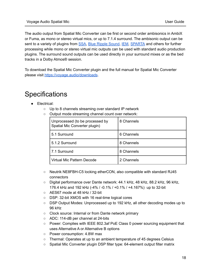The audio output from Spatial Mic Converter can be first or second order ambisonics in AmbiX or Fuma, as mono or stereo virtual mics, or up to 7.1.4 surround. The ambisonic output can be sent to a variety of plugins from [SSA,](https://www.ssa-plugins.com/) Blue Ripple [Sound,](https://www.blueripplesound.com/products/o3a-core) [IEM,](https://plugins.iem.at/) [SPARTA](http://research.spa.aalto.fi/projects/sparta_vsts/plugins.html) and others for further processing while mono or stereo virtual mic outputs can be used with standard audio production plugins. The surround sound outputs can be used directly in your surround mixes or as the bed tracks in a Dolby Atmos® session.

To download the Spatial Mic Converter plugin and the full manual for Spatial Mic Converter please visit <https://voyage.audio/downloads>.

# <span id="page-17-0"></span>**Specifications**

- Electrical:
	- Up to 8 channels streaming over standard IP network
	- Output mode streaming channel count over network:

| Unprocessed (to be processed by<br>Spatial Mic Converter plugin) | 8 Channels |
|------------------------------------------------------------------|------------|
| 5.1 Surround                                                     | 6 Channels |
| 5.1.2 Surround                                                   | 8 Channels |
| 7.1 Surround                                                     | 8 Channels |
| Virtual Mic Pattern Decode                                       | 2 Channels |

- Neutrik NE8FBH-C5 locking etherCON, also compatible with standard RJ45 connectors
- Digital performance over Dante network: 44.1 kHz, 48 kHz, 88.2 kHz, 96 kHz, 176.4 kHz and 192 kHz (-4% / -0.1% / +0.1% / +4.167%) up to 32-bit
- AES67 mode at 48 kHz / 32-bit
- DSP: 32-bit XMOS with 16 real-time logical cores
- DSP Output Modes: Unprocessed up to 192 kHz, all other decoding modes up to 96 kHz
- Clock source: Internal or from Dante network primary
- ADC: 114-dB per channel at 24-bits
- Power: Complies with IEEE 802.3af PoE Class 0 power sourcing equipment that uses Alternative A or Alternative B options
- Power consumption: 4.8W max
- Thermal: Operates at up to an ambient temperature of 45 degrees Celsius
- Spatial Mic Converter plugin DSP filter type: 64-element output filter matrix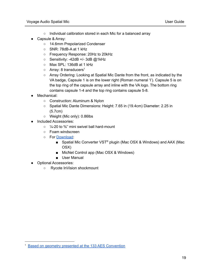- Individual calibration stored in each Mic for a balanced array
- Capsule & Array:
	- 14.6mm Prepolarized Condenser
	- SNR: 78dB-A at 1 kHz
	- Frequency Response: 20Hz to 20kHz
	- Sensitivity: -42dB +/- 3dB @1kHz
	- Max SPL: 136dB at 1 kHz
	- $\circ$  Array: 8 transducers<sup>1</sup>
	- Array Ordering: Looking at Spatial Mic Dante from the front, as indicated by the VA badge, Capsule 1 is on the lower right (Roman numeral 'I'). Capsule 5 is on the top ring of the capsule array and inline with the VA logo. The bottom ring contains capsule 1-4 and the top ring contains capsule 5-8.
- Mechanical:
	- Construction: Aluminum & Nylon
	- Spatial Mic Dante Dimensions: Height: 7.65 in (19.4cm) Diameter: 2.25 in (5.7cm)
	- Weight (Mic only): 0.86lbs
- Included Accessories:
	- ¼-20 to ⅝'' mini swivel ball hard-mount
	- Foam windscreen
	- For [Download](https://voyage.audio/downloads/):
		- Spatial Mic Converter VST<sup>®</sup> plugin (Mac OSX & Windows) and AAX (Mac OSX)
		- MicNet Control app (Mac OSX & Windows)
		- User Manual
- Optional Accessories:
	- Rycote InVision shockmount

<sup>1</sup> Based on geometry presented at the 133 AES [Convention](https://secure.aes.org/forum/pubs/conventions/?elib=16470)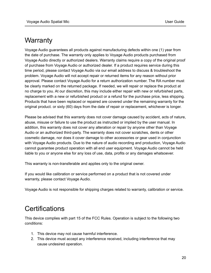# <span id="page-19-0"></span>**Warranty**

Voyage Audio guarantees all products against manufacturing defects within one (1) year from the date of purchase. The warranty only applies to Voyage Audio products purchased from Voyage Audio directly or authorized dealers. Warranty claims require a copy of the original proof of purchase from Voyage Audio or authorized dealer. If a product requires service during this time period, please contact Voyage Audio via our email address to discuss & troubleshoot the problem. Voyage Audio will not accept repair or returned items for any reason without prior approval. Please contact Voyage Audio for a return authorization number. The RA number must be clearly marked on the returned package. If needed, we will repair or replace the product at no charge to you. At our discretion, this may include either repair with new or refurbished parts, replacement with a new or refurbished product or a refund for the purchase price, less shipping. Products that have been replaced or repaired are covered under the remaining warranty for the original product. or sixty (60) days from the date of repair or replacement, whichever is longer.

Please be advised that this warranty does not cover damage caused by accident, acts of nature, abuse, misuse or failure to use the product as instructed or implied by the user manual. In addition, this warranty does not cover any alteration or repair by anyone other than Voyage Audio or an authorized third-party. The warranty does not cover scratches, dents or other cosmetic damage, nor does it cover damage to other accessories or gear used in conjunction with Voyage Audio products. Due to the nature of audio recording and production, Voyage Audio cannot guarantee product operation with all end user equipment. Voyage Audio cannot be held liable to you or anyone else for any loss of use, data, profits or any damages whatsoever.

This warranty is non-transferable and applies only to the original owner.

If you would like calibration or service performed on a product that is not covered under warranty, please contact Voyage Audio.

Voyage Audio is not responsible for shipping charges related to warranty, calibration or service.

# <span id="page-19-1"></span>**Certifications**

This device complies with part 15 of the FCC Rules. Operation is subject to the following two conditions:

- 1. This device may not cause harmful interference.
- 2. This device must accept any interference received, including interference that may cause undesired operation.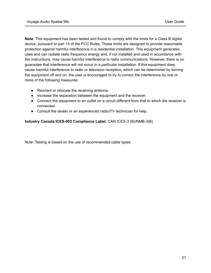**Note**: This equipment has been tested and found to comply with the limits for a Class B digital device, pursuant to part 15 of the FCC Rules. These limits are designed to provide reasonable protection against harmful interference in a residential installation. This equipment generates uses and can radiate radio frequency energy and, if not installed and used in accordance with the instructions, may cause harmful interference to radio communications. However, there is no guarantee that interference will not occur in a particular installation. If this equipment does cause harmful interference to radio or television reception, which can be determined by turning the equipment off and on, the user is encouraged to try to correct the interference by one or more of the following measures:

- Reorient or relocate the receiving antenna.
- Increase the separation between the equipment and the receiver.
- Connect the equipment to an outlet on a circuit different from that to which the receiver is connected.
- Consult the dealer or an experienced radio/TV technician for help.

#### **Industry Canada ICES-003 Compliance Label:** CAN ICES-3 (B)/NMB-3(B)

Note: Testing is based on the use of recommended cable types.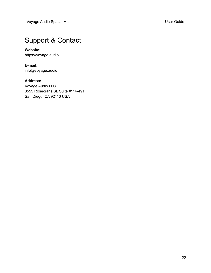# <span id="page-21-0"></span>Support & Contact

#### **Website:**

https://voyage.audio

**E-mail:** info@voyage.audio

#### **Address:**

Voyage Audio LLC. 3555 Rosecrans St. Suite #114-491 San Diego, CA 92110 USA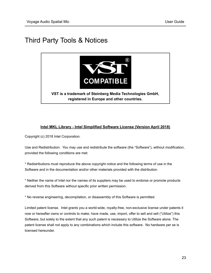# <span id="page-22-0"></span>Third Party Tools & Notices



#### **Intel MKL Library - Intel Simplified Software License (Version April 2018)**

Copyright (c) 2018 Intel Corporation.

Use and Redistribution. You may use and redistribute the software (the "Software"), without modification, provided the following conditions are met:

\* Redistributions must reproduce the above copyright notice and the following terms of use in the Software and in the documentation and/or other materials provided with the distribution.

\* Neither the name of Intel nor the names of its suppliers may be used to endorse or promote products derived from this Software without specific prior written permission.

\* No reverse engineering, decompilation, or disassembly of this Software is permitted.

Limited patent license. Intel grants you a world-wide, royalty-free, non-exclusive license under patents it now or hereafter owns or controls to make, have made, use, import, offer to sell and sell ("Utilize") this Software, but solely to the extent that any such patent is necessary to Utilize the Software alone. The patent license shall not apply to any combinations which include this software. No hardware per se is licensed hereunder.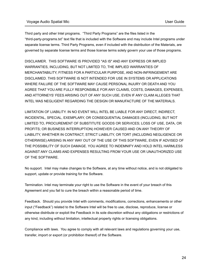Third party and other Intel programs. "Third Party Programs" are the files listed in the "third-party-programs.txt" text file that is included with the Software and may include Intel programs under separate license terms. Third Party Programs, even if included with the distribution of the Materials, are governed by separate license terms and those license terms solely govern your use of those programs.

DISCLAIMER. THIS SOFTWARE IS PROVIDED "AS IS" AND ANY EXPRESS OR IMPLIED WARRANTIES, INCLUDING, BUT NOT LIMITED TO, THE IMPLIED WARRANTIES OF MERCHANTABILITY, FITNESS FOR A PARTICULAR PURPOSE, AND NON-INFRINGEMENT ARE DISCLAIMED. THIS SOFTWARE IS NOT INTENDED FOR USE IN SYSTEMS OR APPLICATIONS WHERE FAILURE OF THE SOFTWARE MAY CAUSE PERSONAL INJURY OR DEATH AND YOU AGREE THAT YOU ARE FULLY RESPONSIBLE FOR ANY CLAIMS, COSTS, DAMAGES, EXPENSES, AND ATTORNEYS' FEES ARISING OUT OF ANY SUCH USE, EVEN IF ANY CLAIM ALLEGES THAT INTEL WAS NEGLIGENT REGARDING THE DESIGN OR MANUFACTURE OF THE MATERIALS.

LIMITATION OF LIABILITY. IN NO EVENT WILL INTEL BE LIABLE FOR ANY DIRECT, INDIRECT, INCIDENTAL, SPECIAL, EXEMPLARY, OR CONSEQUENTIAL DAMAGES (INCLUDING, BUT NOT LIMITED TO, PROCUREMENT OF SUBSTITUTE GOODS OR SERVICES; LOSS OF USE, DATA, OR PROFITS; OR BUSINESS INTERRUPTION) HOWEVER CAUSED AND ON ANY THEORY OF LIABILITY, WHETHER IN CONTRACT, STRICT LIABILITY, OR TORT (INCLUDING NEGLIGENCE OR OTHERWISE) ARISING IN ANY WAY OUT OF THE USE OF THIS SOFTWARE, EVEN IF ADVISED OF THE POSSIBILITY OF SUCH DAMAGE. YOU AGREE TO INDEMNIFY AND HOLD INTEL HARMLESS AGAINST ANY CLAIMS AND EXPENSES RESULTING FROM YOUR USE OR UNAUTHORIZED USE OF THE SOFTWARE.

No support. Intel may make changes to the Software, at any time without notice, and is not obligated to support, update or provide training for the Software.

Termination. Intel may terminate your right to use the Software in the event of your breach of this Agreement and you fail to cure the breach within a reasonable period of time.

Feedback. Should you provide Intel with comments, modifications, corrections, enhancements or other input ("Feedback") related to the Software Intel will be free to use, disclose, reproduce, license or otherwise distribute or exploit the Feedback in its sole discretion without any obligations or restrictions of any kind, including without limitation, intellectual property rights or licensing obligations.

Compliance with laws. You agree to comply with all relevant laws and regulations governing your use, transfer, import or export (or prohibition thereof) of the Software.